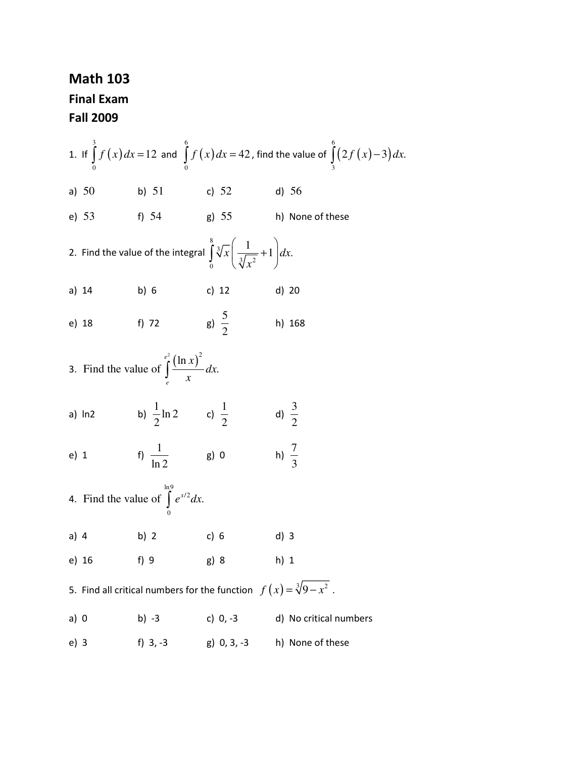## Math 103 Final Exam Fall 2009

1. If  $\int_a^3 f(x)$ 0  $\int_a^3 f(x) dx = 12$  and  $\int_a^6 f(x)$  $\boldsymbol{0}$  $\int_a^6 f(x) dx = 42$  , find the value of  $\int_a^6 (2f(x)-3) dx$ 3  $\int (2 f(x) - 3) dx$ . a) 50 b) 51 c) 52 d) 56 e) 53 f) 54 g) 55 h) None of these 2. Find the value of the integral 8 3  $\sqrt[3]{x^2}$  $\frac{1}{x} \left( \frac{1}{\sqrt{2}} + 1 \right) dx.$ *x*  $\int_{0}^{8} \sqrt[3]{x} \left( \frac{1}{\sqrt[3]{x^2}} + 1 \right)$ a) 14 b) 6 c) 12 d) 20 e) 18 f) 72 g)  $\frac{5}{5}$ 2 h) 168 3. Find the value of  $\int_{0}^{e^2} (\ln x)^2 dx$ Find the value of  $\int \frac{1}{1 + x^2} dx$ . *e e x dx*  $\int_{e}$ a) ln2 b)  $\frac{1}{2} \ln 2$ 2 c)  $\frac{1}{2}$ 2 d)  $\frac{3}{2}$ 2 e) 1 f)  $\frac{1}{1}$ ln 2 g) 0 h)  $\frac{7}{9}$ 3 4. ln9 /2  $\boldsymbol{0}$ Find the value of  $\int e^{x/2} dx$ . a) 4 b) 2 c) 6 d) 3 e) 16 f) 9 g) 8 h) 1 5. Find all critical numbers for the function  $f(x) = \sqrt[3]{9-x^2}$  . a)  $0$  b) -3 c)  $0, -3$  d) No critical numbers e) 3 f) 3, -3 g) 0, 3, -3 h) None of these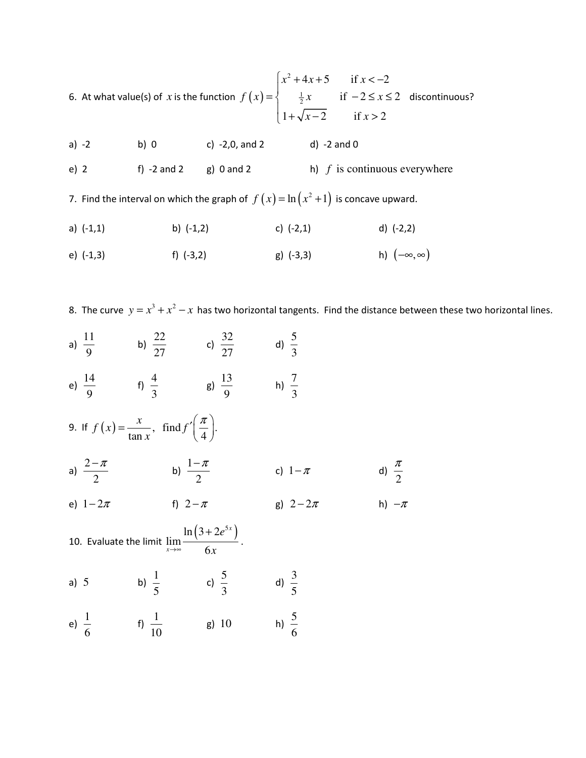6. At what value(s) of  $x$  is the function  $f(x)$ 2  $\frac{1}{2}$  $4x+5$  if  $x < -2$ if  $-2 \leq x \leq 2$  $1 + \sqrt{x-2}$  if  $x > 2$  $x^2 + 4x + 5$  if x  $f(x) = \begin{cases} \frac{1}{2}x & \text{if } -2 \leq x \end{cases}$  $x-2$  if x  $\int x^2 + 4x + 5$  if  $x < =\left\{\begin{array}{cc} \frac{1}{2}x & \text{if } -2 \leq x \leq \end{array}\right.$  $\overline{ }$  $\begin{cases} 1 + \sqrt{x-2} & \text{if } x > \end{cases}$ discontinuous?

| a) -2  | b) 0        | c) $-2,0$ , and 2 | d) $-2$ and 0                   |
|--------|-------------|-------------------|---------------------------------|
| $e)$ 2 | t) -2 and 2 | g) 0 and 2        | h) $f$ is continuous everywhere |

7. Find the interval on which the graph of  $f(x)$  =  $\ln (x^2 + 1)$  is concave upward.

- a) (-1,1) b) (-1,2) c) (-2,1) d) (-2,2)
- e) (-1,3) f) (-3,2) g) (-3,3) h)  $(-∞, ∞)$
- 8. The curve  $y = x^3 + x^2 x$  has two horizontal tangents. Find the distance between these two horizontal lines.

3

6

- a)  $\frac{11}{2}$ 9 b)  $\frac{22}{17}$ 27 c)  $\frac{32}{17}$ 27 d)  $\frac{5}{5}$ 3 e)  $\frac{14}{9}$ f)  $\frac{4}{5}$ g)  $\frac{13}{9}$ h)  $\frac{7}{2}$
- 9. If  $f(x) = \frac{x}{x}$ , find  $f'(\frac{\pi}{4})$ .  $\tan x'$  (4)  $f(x) = \frac{x}{x}$ , find *f x*  $=\frac{x}{\tan x}, \text{ find } f'\left(\frac{\pi}{4}\right).$

3

9

6

a)  $\frac{2}{ }$ 2  $\frac{-\pi}{a}$  b)  $\frac{1}{a}$ 2  $\frac{-\pi}{2}$  c)  $1-\pi$  d) 2 π

9

e)  $1 - 2\pi$  f)  $2 - \pi$  g)  $2 - 2\pi$  h)  $-\pi$ 

10. Evaluate the limit  $\ln (3 + 2e^{5x})$ lim 6 *x x e* →∞ *x* + . a) 5 b)  $\frac{1}{5}$ 5 c)  $\frac{5}{5}$ 3 d)  $\frac{3}{7}$ 5 e)  $\frac{1}{7}$ f)  $\frac{1}{16}$ g) 10 h)  $\frac{5}{5}$ 

10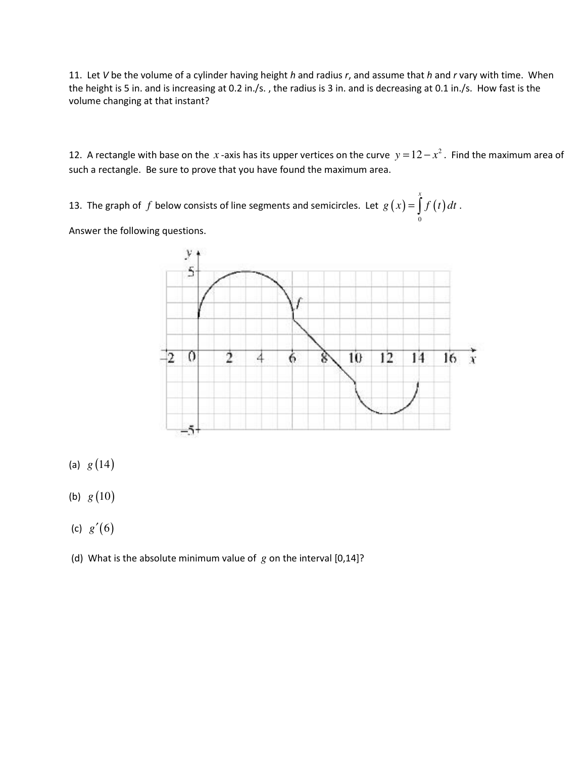11. Let V be the volume of a cylinder having height  $h$  and radius  $r$ , and assume that  $h$  and  $r$  vary with time. When the height is 5 in. and is increasing at 0.2 in./s. , the radius is 3 in. and is decreasing at 0.1 in./s. How fast is the volume changing at that instant?

12. A rectangle with base on the  $x$ -axis has its upper vertices on the curve  $y = 12 - x^2$ . Find the maximum area of such a rectangle. Be sure to prove that you have found the maximum area.

13. The graph of  $f$  below consists of line segments and semicircles. Let  $g(x) = \int f(t)$  $\mathbf{0}$  $g(x) = \int_{0}^{x} f(t) dt$ .

Answer the following questions.



- (a)  $g(14)$
- (b)  $g(10)$
- (c) *g*′(6)
- (d) What is the absolute minimum value of *g* on the interval [0,14]?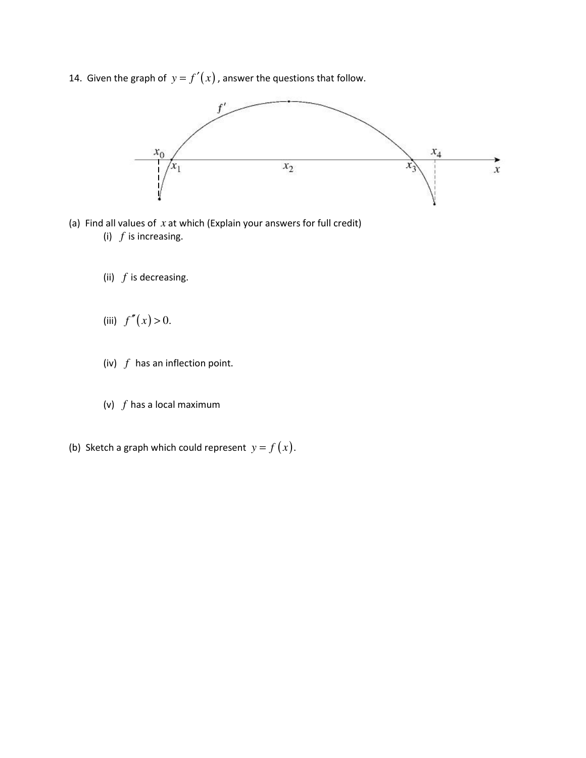14. Given the graph of  $y = f'(x)$ , answer the questions that follow.



- (a) Find all values of *x* at which (Explain your answers for full credit) (i) *f* is increasing.
	- (ii) *f* is decreasing.
	- (iii)  $f''(x) > 0$ .
	- (iv) *f* has an inflection point.
	- (v) *f* has a local maximum
- (b) Sketch a graph which could represent  $y = f(x)$ .